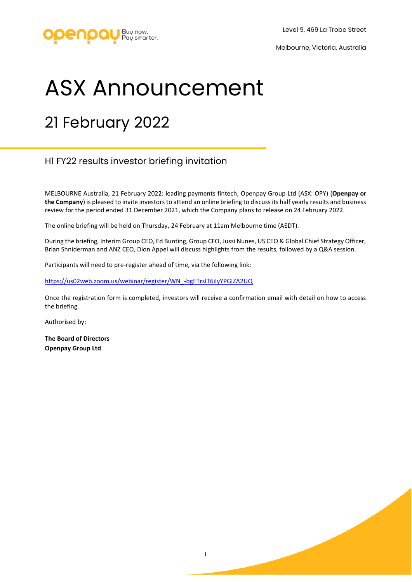

## ASX Announcement

## 21 February 2022

## H1 FY22 results investor briefing invitation

MELBOURNE Australia, 21 February 2022: leading payments fintech, Openpay Group Ltd (ASX: OPY) (**Openpay or the Company**) is pleased to invite investors to attend an online briefing to discuss its half yearly results and business review for the period ended 31 December 2021, which the Company plans to release on 24 February 2022.

The online briefing will be held on Thursday, 24 February at 11am Melbourne time (AEDT).

During the briefing, Interim Group CEO, Ed Bunting, Group CFO, Jussi Nunes, US CEO & Global Chief Strategy Officer, Brian Shniderman and ANZ CEO, Dion Appel will discuss highlights from the results, followed by a Q&A session.

Participants will need to pre-register ahead of time, via the following link:

[https://us02web.zoom.us/webinar/register/WN\\_-bgETrsIT6iIyYPGlZA2UQ](https://us02web.zoom.us/webinar/register/WN_-bgETrsIT6iIyYPGlZA2UQ)

Once the registration form is completed, investors will receive a confirmation email with detail on how to access the briefing.

Authorised by:

**The Board of Directors Openpay Group Ltd**